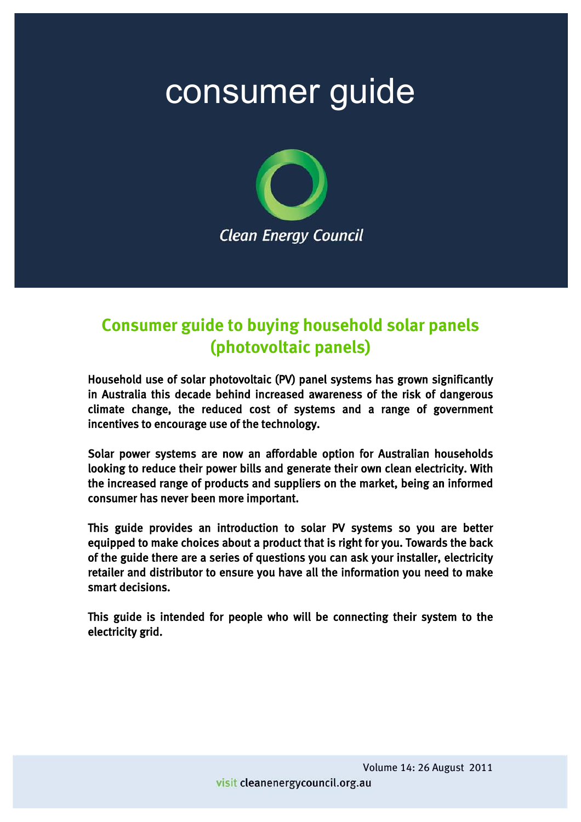# consumer guide



### **Consumer guide to buying household solar panels (photovoltaic panels)**

Household use of solar photovoltaic (PV) panel systems has grown significantly in Australia this decade behind increased awareness of the risk of dangerous climate change, the reduced cost of systems and a range of government incentives to encourage use of the technology.

Solar power systems are now an affordable option for Australian households looking to reduce their power bills and generate their own clean electricity. With the increased range of products and suppliers on the market, being an informed consumer has never been more important.

This guide provides an introduction to solar PV systems so you are better equipped to make choices about a product that is right for you. Towards the back of the guide there are a series of questions you can ask your installer, electricity retailer and distributor to ensure you have all the information you need to make smart decisions.

This guide is intended for people who will be connecting their system to the electricity grid.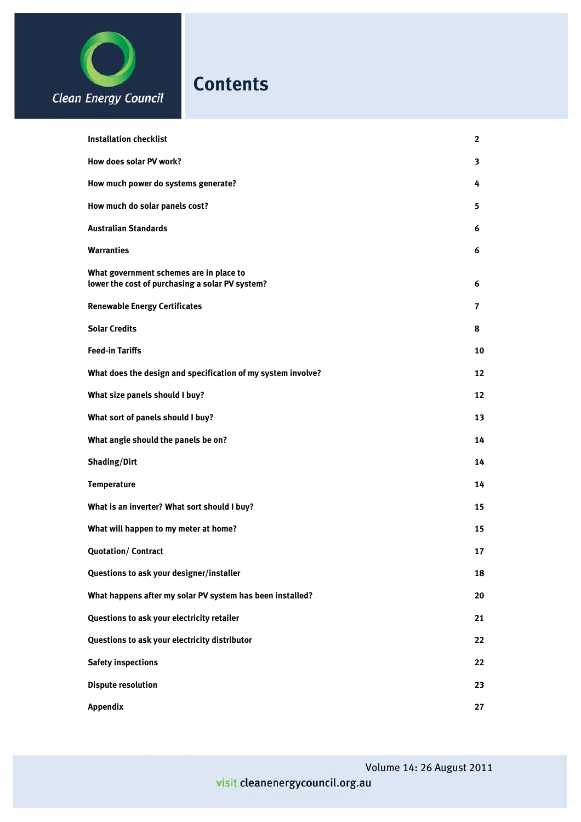

| <b>Installation checklist</b>                                                              | $\mathbf{2}$ |
|--------------------------------------------------------------------------------------------|--------------|
| How does solar PV work?                                                                    | 3            |
| How much power do systems generate?                                                        | 4            |
| How much do solar panels cost?                                                             | 5.           |
| <b>Australian Standards</b>                                                                | 6            |
| <b>Warranties</b>                                                                          | 6            |
| What government schemes are in place to<br>lower the cost of purchasing a solar PV system? | 6            |
| <b>Renewable Energy Certificates</b>                                                       | 7            |
| <b>Solar Credits</b>                                                                       | 8            |
| <b>Feed-in Tariffs</b>                                                                     | 10           |
| What does the design and specification of my system involve?                               | 12           |
| What size panels should I buy?                                                             | 12           |
| What sort of panels should I buy?                                                          | 13           |
| What angle should the panels be on?                                                        | 14           |
| Shading/Dirt                                                                               | 14           |
| <b>Temperature</b>                                                                         | 14           |
| What is an inverter? What sort should I buy?                                               | 15           |
| What will happen to my meter at home?                                                      | 15           |
| <b>Quotation/Contract</b>                                                                  | 17           |
| Questions to ask your designer/installer                                                   | 18           |
| What happens after my solar PV system has been installed?                                  | 20           |
| Questions to ask your electricity retailer                                                 | 21           |
| Questions to ask your electricity distributor                                              | 22           |
| <b>Safety inspections</b>                                                                  | 22           |
| <b>Dispute resolution</b>                                                                  | 23           |
| Appendix                                                                                   | 27           |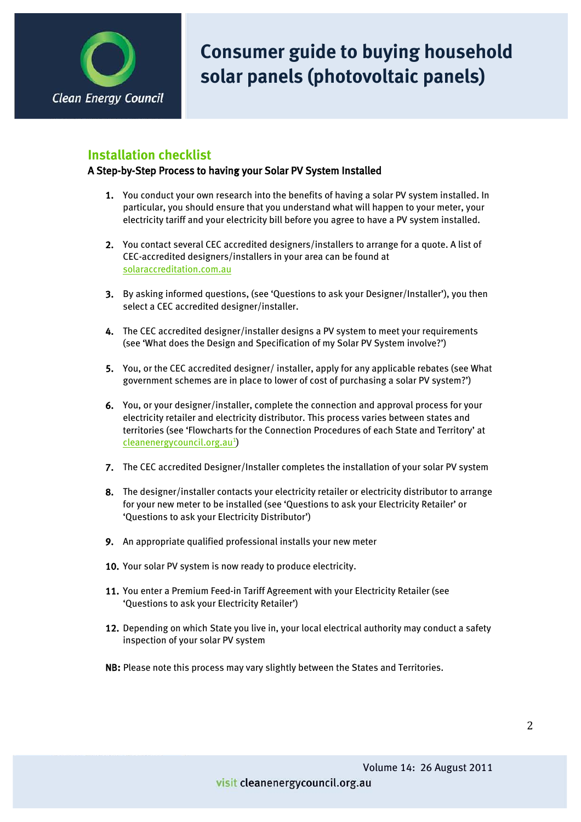

#### **Installation checklist**

#### A Step-by-Step Process to having your Solar PV System Installed

- 1. You conduct your own research into the benefits of having a solar PV system installed. In particular, you should ensure that you understand what will happen to your meter, your electricity tariff and your electricity bill before you agree to have a PV system installed.
- 2. You contact several CEC accredited designers/installers to arrange for a quote. A list of CEC-accredited designers/installers in your area can be found at [solaraccreditation.com.au](http://www.solaraccreditation.com.au/)
- 3. By asking informed questions, (see 'Questions to ask your Designer/Installer'), you then select a CEC accredited designer/installer.
- 4. The CEC accredited designer/installer designs a PV system to meet your requirements (see 'What does the Design and Specification of my Solar PV System involve?')
- 5. You, or the CEC accredited designer/ installer, apply for any applicable rebates (see What government schemes are in place to lower of cost of purchasing a solar PV system?')
- 6. You, or your designer/installer, complete the connection and approval process for your electricity retailer and electricity distributor. This process varies between states and territories (see 'Flowcharts for the Connection Procedures of each State and Territory' at cleanenergycouncil.org.au<sup>1</sup>)
- 7. The CEC accredited Designer/Installer completes the installation of your solar PV system
- 8. The designer/installer contacts your electricity retailer or electricity distributor to arrange for your new meter to be installed (see 'Questions to ask your Electricity Retailer' or 'Questions to ask your Electricity Distributor')
- 9. An appropriate qualified professional installs your new meter
- 10. Your solar PV system is now ready to produce electricity.
- 11. You enter a Premium Feed-in Tariff Agreement with your Electricity Retailer (see 'Questions to ask your Electricity Retailer')
- 12. Depending on which State you live in, your local electrical authority may conduct a safety inspection of your solar PV system
- NB: Please note this process may vary slightly between the States and Territories.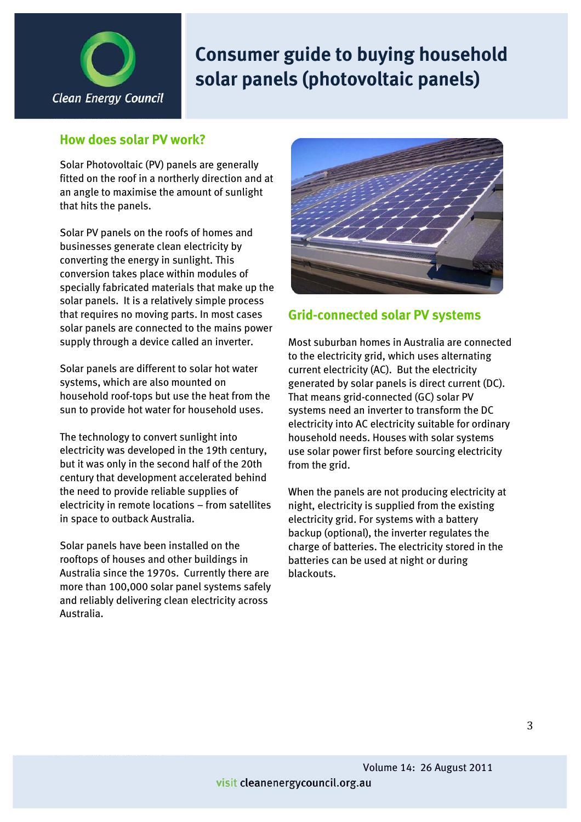

### **How does solar PV work?**

Solar Photovoltaic (PV) panels are generally fitted on the roof in a northerly direction and at an angle to maximise the amount of sunlight that hits the panels.

Solar PV panels on the roofs of homes and businesses generate clean electricity by converting the energy in sunlight. This conversion takes place within modules of specially fabricated materials that make up the solar panels. It is a relatively simple process that requires no moving parts. In most cases solar panels are connected to the mains power supply through a device called an inverter.

Solar panels are different to solar hot water systems, which are also mounted on household roof-tops but use the heat from the sun to provide hot water for household uses.

The technology to convert sunlight into electricity was developed in the 19th century, but it was only in the second half of the 20th century that development accelerated behind the need to provide reliable supplies of electricity in remote locations – from satellites in space to outback Australia.

Solar panels have been installed on the rooftops of houses and other buildings in Australia since the 1970s. Currently there are more than 100,000 solar panel systems safely and reliably delivering clean electricity across Australia.



### **Grid-connected solar PV systems**

Most suburban homes in Australia are connected to the electricity grid, which uses alternating current electricity (AC). But the electricity generated by solar panels is direct current (DC). That means grid-connected (GC) solar PV systems need an inverter to transform the DC electricity into AC electricity suitable for ordinary household needs. Houses with solar systems use solar power first before sourcing electricity from the grid.

When the panels are not producing electricity at night, electricity is supplied from the existing electricity grid. For systems with a battery backup (optional), the inverter regulates the charge of batteries. The electricity stored in the batteries can be used at night or during blackouts.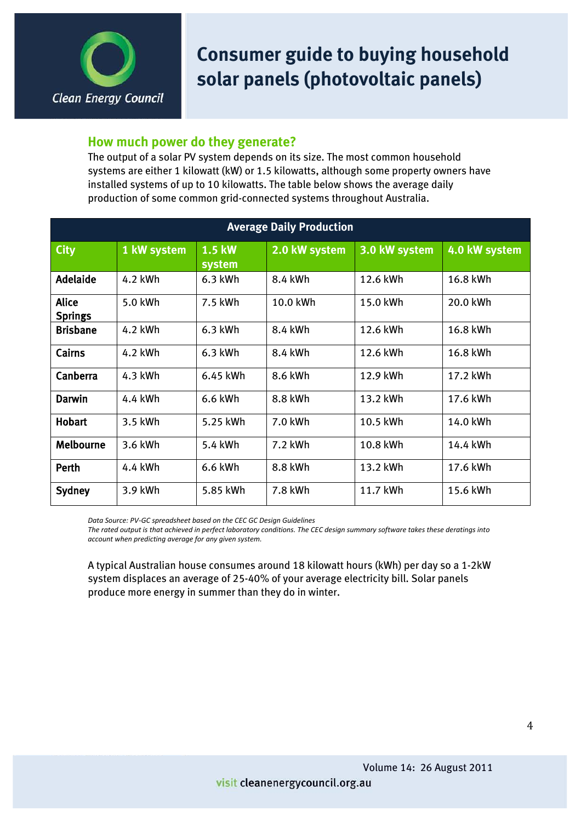

#### **How much power do they generate?**

The output of a solar PV system depends on its size. The most common household systems are either 1 kilowatt (kW) or 1.5 kilowatts, although some property owners have installed systems of up to 10 kilowatts. The table below shows the average daily production of some common grid-connected systems throughout Australia.

| <b>Average Daily Production</b> |             |                         |               |               |               |  |
|---------------------------------|-------------|-------------------------|---------------|---------------|---------------|--|
| <b>City</b>                     | 1 kW system | <b>1.5 kW</b><br>system | 2.0 kW system | 3.0 kW system | 4.0 kW system |  |
| <b>Adelaide</b>                 | 4.2 kWh     | $6.3$ kWh               | 8.4 kWh       | 12.6 kWh      | 16.8 kWh      |  |
| <b>Alice</b><br><b>Springs</b>  | 5.0 kWh     | 7.5 kWh                 | 10.0 kWh      | 15.0 kWh      | 20.0 kWh      |  |
| <b>Brisbane</b>                 | 4.2 kWh     | $6.3$ kWh               | 8.4 kWh       | 12.6 kWh      | 16.8 kWh      |  |
| Cairns                          | 4.2 kWh     | $6.3$ kWh               | 8.4 kWh       | 12.6 kWh      | 16.8 kWh      |  |
| Canberra                        | 4.3 kWh     | 6.45 kWh                | 8.6 kWh       | 12.9 kWh      | 17.2 kWh      |  |
| <b>Darwin</b>                   | 4.4 kWh     | 6.6 kWh                 | 8.8 kWh       | 13.2 kWh      | 17.6 kWh      |  |
| <b>Hobart</b>                   | 3.5 kWh     | 5.25 kWh                | 7.0 kWh       | 10.5 kWh      | 14.0 kWh      |  |
| <b>Melbourne</b>                | 3.6 kWh     | 5.4 kWh                 | 7.2 kWh       | 10.8 kWh      | 14.4 kWh      |  |
| Perth                           | 4.4 kWh     | 6.6 kWh                 | 8.8 kWh       | 13.2 kWh      | 17.6 kWh      |  |
| Sydney                          | 3.9 kWh     | 5.85 kWh                | 7.8 kWh       | 11.7 kWh      | 15.6 kWh      |  |

**Data Source: PV-GC spreadsheet based on the CEC GC Design Guidelines** 

The rated output is that achieved in perfect laboratory conditions. The CEC design summary software takes these deratings into *account!when!predicting!average!for!any!given!system.*

A typical Australian house consumes around 18 kilowatt hours (kWh) per day so a 1-2kW system displaces an average of 25-40% of your average electricity bill. Solar panels produce more energy in summer than they do in winter.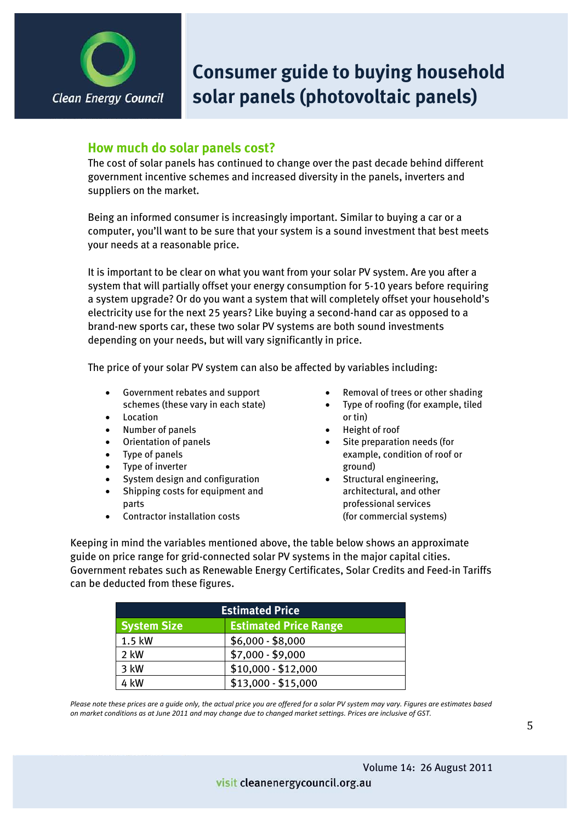

### **How much do solar panels cost?**

The cost of solar panels has continued to change over the past decade behind different government incentive schemes and increased diversity in the panels, inverters and suppliers on the market.

Being an informed consumer is increasingly important. Similar to buying a car or a computer, you'll want to be sure that your system is a sound investment that best meets your needs at a reasonable price.

It is important to be clear on what you want from your solar PV system. Are you after a system that will partially offset your energy consumption for 5-10 years before requiring a system upgrade? Or do you want a system that will completely offset your household's electricity use for the next 25 years? Like buying a second-hand car as opposed to a brand-new sports car, these two solar PV systems are both sound investments depending on your needs, but will vary significantly in price.

The price of your solar PV system can also be affected by variables including:

- Government rebates and support schemes (these vary in each state)
- Location
- Number of panels
- Orientation of panels
- Type of panels
- Type of inverter
- System design and configuration
- Shipping costs for equipment and parts
- Contractor installation costs
- Removal of trees or other shading
- Type of roofing (for example, tiled or tin)
- Height of roof
- Site preparation needs (for example, condition of roof or ground)
- Structural engineering, architectural, and other professional services (for commercial systems)

Keeping in mind the variables mentioned above, the table below shows an approximate guide on price range for grid-connected solar PV systems in the major capital cities. Government rebates such as Renewable Energy Certificates, Solar Credits and Feed-in Tariffs can be deducted from these figures.

| <b>Estimated Price</b> |                              |  |  |
|------------------------|------------------------------|--|--|
| <b>System Size</b>     | <b>Estimated Price Range</b> |  |  |
| 1.5 kW                 | $$6,000 - $8,000$            |  |  |
| 2 kW                   | $$7,000 - $9,000$            |  |  |
| 3 kW                   | $$10,000 - $12,000$          |  |  |
| 4 kW                   | $$13,000 - $15,000$          |  |  |

Please note these prices are a guide only, the actual price you are offered for a solar PV system may vary. Figures are estimates based *on market conditions as at June 2011 and may change due to changed market settings. Prices are inclusive of GST.*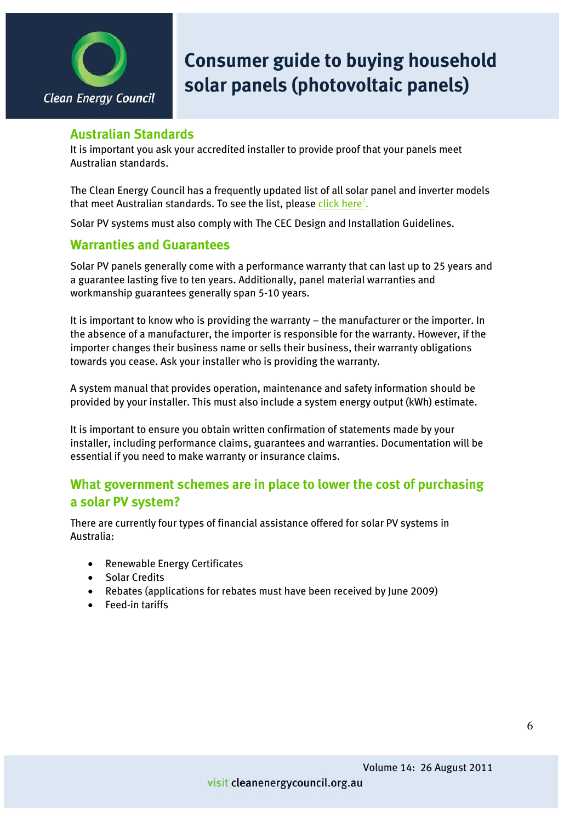

#### **Australian Standards**

It is important you ask your accredited installer to provide proof that your panels meet Australian standards.

The Clean Energy Council has a frequently updated list of all solar panel and inverter models that meet Australian standards. To see the list, please <u>[click here](http://www.solaraccreditation.com.au/acccec/approvedproducts.html)<sup>2</sup></u>.

Solar PV systems must also comply with The CEC Design and Installation Guidelines.

### **Warranties and Guarantees**

Solar PV panels generally come with a performance warranty that can last up to 25 years and a guarantee lasting five to ten years. Additionally, panel material warranties and workmanship guarantees generally span 5-10 years.

It is important to know who is providing the warranty – the manufacturer or the importer. In the absence of a manufacturer, the importer is responsible for the warranty. However, if the importer changes their business name or sells their business, their warranty obligations towards you cease. Ask your installer who is providing the warranty.

A system manual that provides operation, maintenance and safety information should be provided by your installer. This must also include a system energy output (kWh) estimate.

It is important to ensure you obtain written confirmation of statements made by your installer, including performance claims, guarantees and warranties. Documentation will be essential if you need to make warranty or insurance claims.

### **What government schemes are in place to lower the cost of purchasing a solar PV system?**

There are currently four types of financial assistance offered for solar PV systems in Australia:

- Renewable Energy Certificates
- Solar Credits
- Rebates (applications for rebates must have been received by June 2009)
- Feed-in tariffs

#### visit cleanenergycouncil.org.au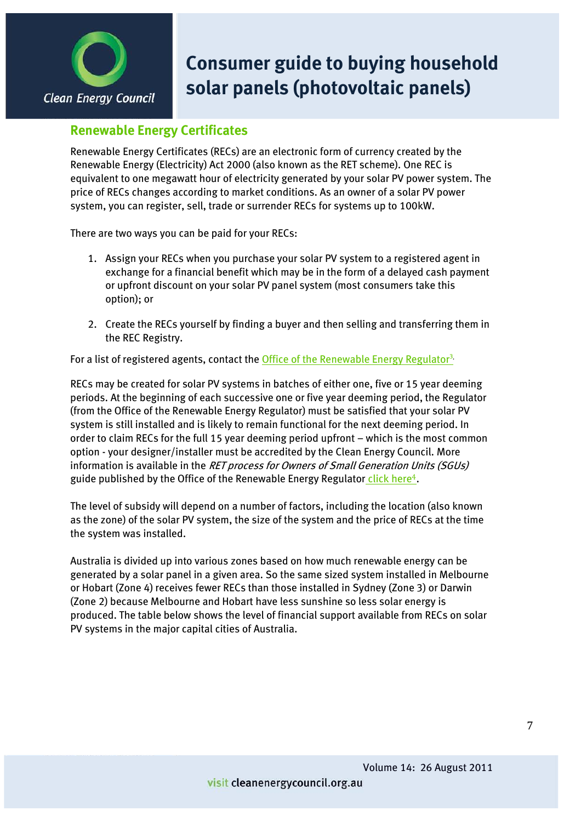

### **Renewable Energy Certificates**

Renewable Energy Certificates (RECs) are an electronic form of currency created by the Renewable Energy (Electricity) Act 2000 (also known as the RET scheme). One REC is equivalent to one megawatt hour of electricity generated by your solar PV power system. The price of RECs changes according to market conditions. As an owner of a solar PV power system, you can register, sell, trade or surrender RECs for systems up to 100kW.

There are two ways you can be paid for your RECs:

- 1. Assign your RECs when you purchase your solar PV system to a registered agent in exchange for a financial benefit which may be in the form of a delayed cash payment or upfront discount on your solar PV panel system (most consumers take this option); or
- 2. Create the RECs yourself by finding a buyer and then selling and transferring them in the REC Registry.

For a list of registered agents, contact the Office of the Renewable Energy Regulator<sup>3</sup>.

RECs may be created for solar PV systems in batches of either one, five or 15 year deeming periods. At the beginning of each successive one or five year deeming period, the Regulator (from the Office of the Renewable Energy Regulator) must be satisfied that your solar PV system is still installed and is likely to remain functional for the next deeming period. In order to claim RECs for the full 15 year deeming period upfront – which is the most common option - your designer/installer must be accredited by the Clean Energy Council. More information is available in the RET process for Owners of Small Generation Units (SGUs) guide published by the Office of the Renewable Energy Regulator [click here](http://www.orer.gov.au/sgu/index.html)<sup>4</sup>.

The level of subsidy will depend on a number of factors, including the location (also known as the zone) of the solar PV system, the size of the system and the price of RECs at the time the system was installed.

Australia is divided up into various zones based on how much renewable energy can be generated by a solar panel in a given area. So the same sized system installed in Melbourne or Hobart (Zone 4) receives fewer RECs than those installed in Sydney (Zone 3) or Darwin (Zone 2) because Melbourne and Hobart have less sunshine so less solar energy is produced. The table below shows the level of financial support available from RECs on solar PV systems in the major capital cities of Australia.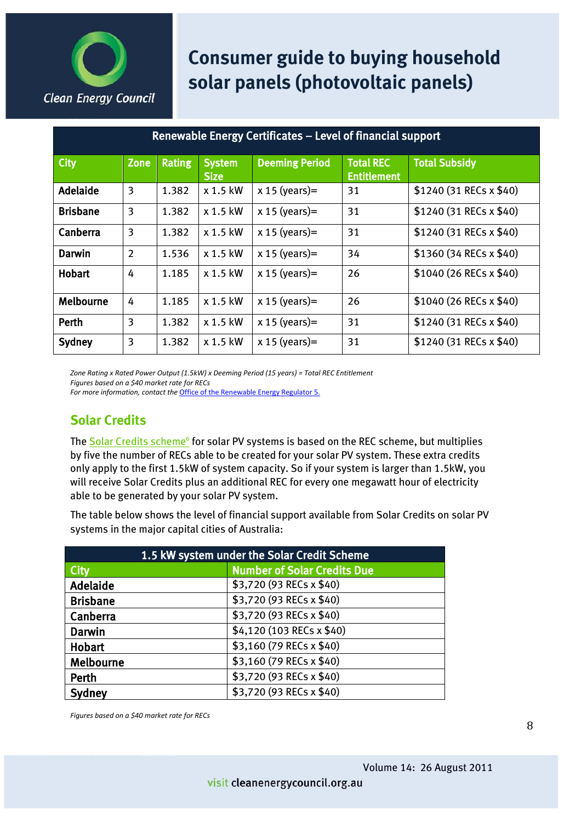

| Renewable Energy Certificates – Level of financial support |                |               |                              |                       |                                        |                          |
|------------------------------------------------------------|----------------|---------------|------------------------------|-----------------------|----------------------------------------|--------------------------|
| City                                                       | <b>Zone</b>    | <b>Rating</b> | <b>System</b><br><b>Size</b> | <b>Deeming Period</b> | <b>Total REC</b><br><b>Entitlement</b> | <b>Total Subsidy</b>     |
| Adelaide                                                   | 3              | 1.382         | x 1.5 kW                     | $x 15$ (years)=       | 31                                     | \$1240 (31 RECs x \$40)  |
| <b>Brisbane</b>                                            | 3              | 1.382         | x 1.5 kW                     | $x 15$ (years)=       | 31                                     | $$1240(31$ RECs x \$40)  |
| Canberra                                                   | 3              | 1.382         | x 1.5 kW                     | $x 15$ (years)=       | 31                                     | $$1240(31$ RECs x \$40)  |
| <b>Darwin</b>                                              | $\overline{2}$ | 1.536         | x 1.5 kW                     | $x 15$ (years)=       | 34                                     | $$1360(34$ RECs x \$40)  |
| <b>Hobart</b>                                              | 4              | 1.185         | x 1.5 kW                     | $x 15$ (years)=       | 26                                     | $$1040 (26$ RECs x \$40) |
| Melbourne                                                  | 4              | 1.185         | x 1.5 kW                     | $x 15$ (years)=       | 26                                     | $$1040 (26$ RECs x \$40) |
| Perth                                                      | 3              | 1.382         | x 1.5 kW                     | $x 15$ (years)=       | 31                                     | \$1240 (31 RECs x \$40)  |
| Sydney                                                     | 3              | 1.382         | x 1.5 kW                     | $x 15$ (years)=       | 31                                     | $$1240(31$ RECs x \$40)  |

Zone Rating x Rated Power Output (1.5kW) x Deeming Period (15 years) = Total REC Entitlement *Figures based on a \$40 market rate for RECs For more information, contact the Office of the Renewable Energy Regulator 5.* 

**Solar Credits**

The Solar Credits scheme<sup>6</sup> for solar PV systems is based on the REC scheme, but multiplies by five the number of RECs able to be created for your solar PV system. These extra credits only apply to the first 1.5kW of system capacity. So if your system is larger than 1.5kW, you will receive Solar Credits plus an additional REC for every one megawatt hour of electricity able to be generated by your solar PV system.

The table below shows the level of financial support available from Solar Credits on solar PV systems in the major capital cities of Australia:

| 1.5 kW system under the Solar Credit Scheme |                                    |  |  |  |
|---------------------------------------------|------------------------------------|--|--|--|
| City                                        | <b>Number of Solar Credits Due</b> |  |  |  |
| Adelaide                                    | \$3,720 (93 RECs x \$40)           |  |  |  |
| <b>Brisbane</b>                             | \$3,720 (93 RECs x \$40)           |  |  |  |
| Canberra                                    | \$3,720 (93 RECs x \$40)           |  |  |  |
| <b>Darwin</b>                               | \$4,120 (103 RECs x \$40)          |  |  |  |
| <b>Hobart</b>                               | \$3,160 (79 RECs x \$40)           |  |  |  |
| Melbourne                                   | \$3,160 (79 RECs x \$40)           |  |  |  |
| Perth                                       | \$3,720 (93 RECs x \$40)           |  |  |  |
| Sydney                                      | \$3,720 (93 RECs x \$40)           |  |  |  |

*Figures based on a \$40 market rate for RECs*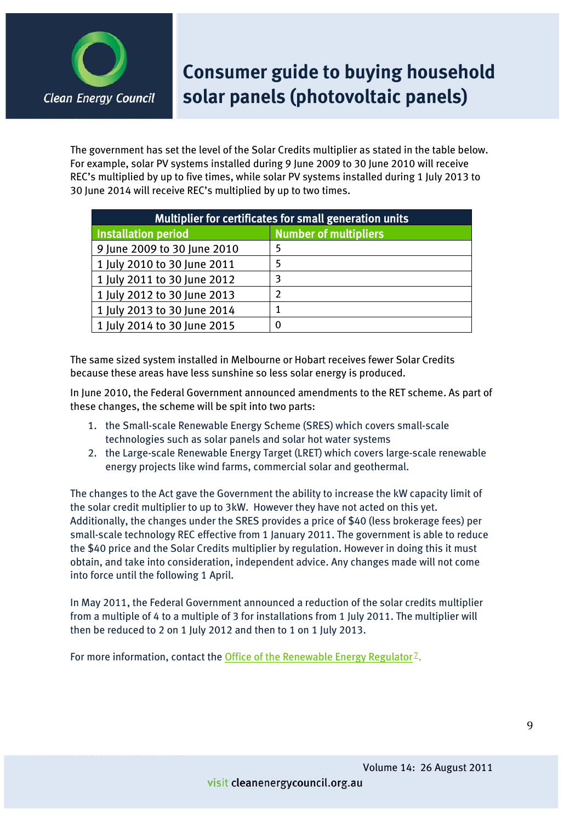

The government has set the level of the Solar Credits multiplier as stated in the table below. For example, solar PV systems installed during 9 June 2009 to 30 June 2010 will receive REC's multiplied by up to five times, while solar PV systems installed during 1 July 2013 to 30 June 2014 will receive REC's multiplied by up to two times.

| Multiplier for certificates for small generation units |                              |  |  |  |
|--------------------------------------------------------|------------------------------|--|--|--|
| <b>Installation period</b>                             | <b>Number of multipliers</b> |  |  |  |
| 9 June 2009 to 30 June 2010                            | 5                            |  |  |  |
| 1 July 2010 to 30 June 2011                            | 5                            |  |  |  |
| 1 July 2011 to 30 June 2012                            | 3                            |  |  |  |
| 1 July 2012 to 30 June 2013                            | $\overline{\mathbf{c}}$      |  |  |  |
| 1 July 2013 to 30 June 2014                            |                              |  |  |  |
| 1 July 2014 to 30 June 2015                            | 0                            |  |  |  |

The same sized system installed in Melbourne or Hobart receives fewer Solar Credits because these areas have less sunshine so less solar energy is produced.

In June 2010, the Federal Government announced amendments to the RET scheme. As part of these changes, the scheme will be spit into two parts:

- 1. the Small-scale Renewable Energy Scheme (SRES) which covers small-scale technologies such as solar panels and solar hot water systems
- 2. the Large-scale Renewable Energy Target (LRET) which covers large-scale renewable energy projects like wind farms, commercial solar and geothermal.

The changes to the Act gave the Government the ability to increase the kW capacity limit of the solar credit multiplier to up to 3kW. However they have not acted on this yet. Additionally, the changes under the SRES provides a price of \$40 (less brokerage fees) per small-scale technology REC effective from 1 January 2011. The government is able to reduce the \$40 price and the Solar Credits multiplier by regulation. However in doing this it must obtain, and take into consideration, independent advice. Any changes made will not come into force until the following 1 April.

In May 2011, the Federal Government announced a reduction of the solar credits multiplier from a multiple of 4 to a multiple of 3 for installations from 1 July 2011. The multiplier will then be reduced to 2 on 1 July 2012 and then to 1 on 1 July 2013.

For more information, contact the [Office of the Renewable Energy Regulator](http://www.orer.gov.au/)<sup> $Z$ </sup>.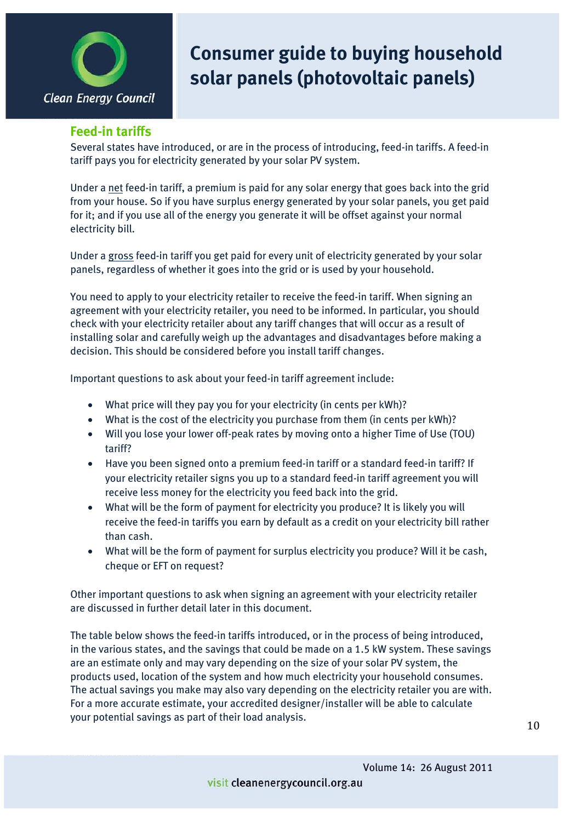

#### **Feed-in tariffs**

Several states have introduced, or are in the process of introducing, feed-in tariffs. A feed-in tariff pays you for electricity generated by your solar PV system.

Under a net feed-in tariff, a premium is paid for an[y solar energy](http://solarquotes.com.au/learn-about-solar-energy.html) that goes back into the grid from your house. So if you have surplus energy generated by your solar panels, you get paid for it; and if you use all of the energy you generate it will be offset against your normal electricity bill.

Under a gross feed-in tariff you get paid for every unit of electricity generated by your solar panels, regardless of whether it goes into the grid or is used by your household.

You need to apply to your electricity retailer to receive the feed-in tariff. When signing an agreement with your electricity retailer, you need to be informed. In particular, you should check with your electricity retailer about any tariff changes that will occur as a result of installing solar and carefully weigh up the advantages and disadvantages before making a decision. This should be considered before you install tariff changes.

Important questions to ask about your feed-in tariff agreement include:

- $\bullet$  What price will they pay you for your electricity (in cents per kWh)?
- What is the cost of the electricity you purchase from them (in cents per kWh)?
- Will you lose your lower off-peak rates by moving onto a higher Time of Use (TOU) tariff?
- Have you been signed onto a premium feed-in tariff or a standard feed-in tariff? If your electricity retailer signs you up to a standard feed-in tariff agreement you will receive less money for the electricity you feed back into the grid.
- What will be the form of payment for electricity you produce? It is likely you will receive the feed-in tariffs you earn by default as a credit on your electricity bill rather than cash.
- What will be the form of payment for surplus electricity you produce? Will it be cash, cheque or EFT on request?

Other important questions to ask when signing an agreement with your electricity retailer are discussed in further detail later in this document.

The table below shows the feed-in tariffs introduced, or in the process of being introduced, in the various states, and the savings that could be made on a 1.5 kW system. These savings are an estimate only and may vary depending on the size of your solar PV system, the products used, location of the system and how much electricity your household consumes. The actual savings you make may also vary depending on the electricity retailer you are with. For a more accurate estimate, your accredited designer/installer will be able to calculate your potential savings as part of their load analysis.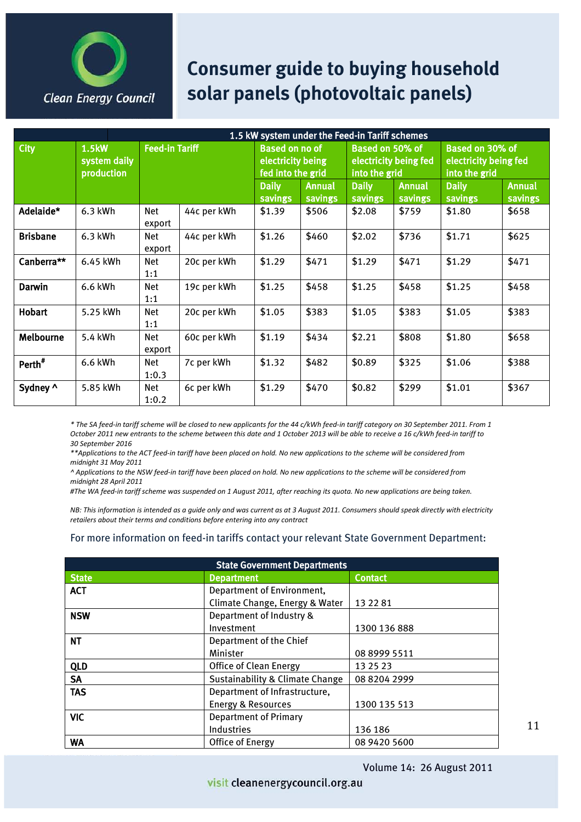

|                    | 1.5 kW system under the Feed-in Tariff schemes |                       |             |                                                                 |                   |                         |                                  |                         |                                                           |  |
|--------------------|------------------------------------------------|-----------------------|-------------|-----------------------------------------------------------------|-------------------|-------------------------|----------------------------------|-------------------------|-----------------------------------------------------------|--|
| <b>City</b>        | <b>1.5kW</b><br>system daily<br>production     | <b>Feed-in Tariff</b> |             | <b>Based on no of</b><br>electricity being<br>fed into the grid |                   |                         | Based on 50% of<br>into the grid | electricity being fed   | Based on 30% of<br>electricity being fed<br>into the grid |  |
|                    |                                                |                       |             | <b>Daily</b><br><b>savings</b>                                  | Annual<br>savings | <b>Daily</b><br>savings | Annual<br>savings                | <b>Daily</b><br>savings | <b>Annual</b><br><b>savings</b>                           |  |
| Adelaide*          | 6.3 kWh                                        | Net<br>export         | 44c per kWh | \$1.39                                                          | \$506             | \$2.08                  | \$759                            | \$1.80                  | \$658                                                     |  |
| <b>Brisbane</b>    | $6.3$ kWh                                      | Net<br>export         | 44c per kWh | \$1.26                                                          | \$460             | \$2.02                  | \$736                            | \$1.71                  | \$625                                                     |  |
| Canberra**         | 6.45 kWh                                       | Net<br>1:1            | 20c per kWh | \$1.29                                                          | \$471             | \$1.29                  | \$471                            | \$1.29                  | \$471                                                     |  |
| Darwin             | 6.6 kWh                                        | Net<br>1:1            | 19c per kWh | \$1.25                                                          | \$458             | \$1.25                  | \$458                            | \$1.25                  | \$458                                                     |  |
| <b>Hobart</b>      | 5.25 kWh                                       | Net<br>1:1            | 20c per kWh | \$1.05                                                          | \$383             | \$1.05                  | \$383                            | \$1.05                  | \$383                                                     |  |
| Melbourne          | 5.4 kWh                                        | Net<br>export         | 60c per kWh | \$1.19                                                          | \$434             | \$2.21                  | \$808                            | \$1.80                  | \$658                                                     |  |
| Perth <sup>#</sup> | 6.6 kWh                                        | Net<br>1:0.3          | 7c per kWh  | \$1.32                                                          | \$482             | \$0.89                  | \$325                            | \$1.06                  | \$388                                                     |  |
| Sydney ^           | 5.85 kWh                                       | Net<br>1:0.2          | 6c per kWh  | \$1.29                                                          | \$470             | \$0.82                  | \$299                            | \$1.01                  | \$367                                                     |  |

\* The SA feed-in tariff scheme will be closed to new applicants for the 44 c/kWh feed-in tariff category on 30 September 2011. From 1 *October 2011 new entrants to the scheme between this date and 1 October 2013 will be able to receive a 16 c/kWh feed-in tariff to 30!September!2016!*

*\*\*Applications!to!the!ACT!feed.in!tariff!have!been!placed!on!hold.!No!new!applications!to!the!scheme!will!be!considered!from! midnight!31!May!2011*

*^!Applications!to!the!NSW!feed.in!tariff!have!been!placed!on!hold.!No!new!applications!to!the!scheme!will!be!considered!from! midnight!28!April!2011*

#The WA feed-in tariff scheme was suspended on 1 August 2011, after reaching its quota. No new applications are being taken.

*NB: This information is intended as a guide only and was current as at 3 August 2011. Consumers should speak directly with electricity* retailers about their terms and conditions before entering into any contract

#### For more information on feed-in tariffs contact your relevant State Government Department:

| <b>State Government Departments</b> |                                            |                |  |  |  |
|-------------------------------------|--------------------------------------------|----------------|--|--|--|
| <b>State</b>                        | <b>Department</b>                          | <b>Contact</b> |  |  |  |
| <b>ACT</b>                          | Department of Environment,                 |                |  |  |  |
|                                     | Climate Change, Energy & Water             | 13 22 81       |  |  |  |
| <b>NSW</b>                          | Department of Industry &                   |                |  |  |  |
|                                     | Investment                                 | 1300 136 888   |  |  |  |
| <b>NT</b>                           | Department of the Chief                    |                |  |  |  |
|                                     | Minister                                   | 08 8999 5511   |  |  |  |
| <b>QLD</b>                          | <b>Office of Clean Energy</b>              | 13 25 23       |  |  |  |
| <b>SA</b>                           | <b>Sustainability &amp; Climate Change</b> | 08 8204 2999   |  |  |  |
| <b>TAS</b>                          | Department of Infrastructure,              |                |  |  |  |
|                                     | <b>Energy &amp; Resources</b>              | 1300 135 513   |  |  |  |
| <b>VIC</b>                          | <b>Department of Primary</b>               |                |  |  |  |
|                                     | Industries                                 | 136 186        |  |  |  |
| <b>WA</b>                           | Office of Energy                           | 08 9420 5600   |  |  |  |

11

Volume 14: 26 August 2011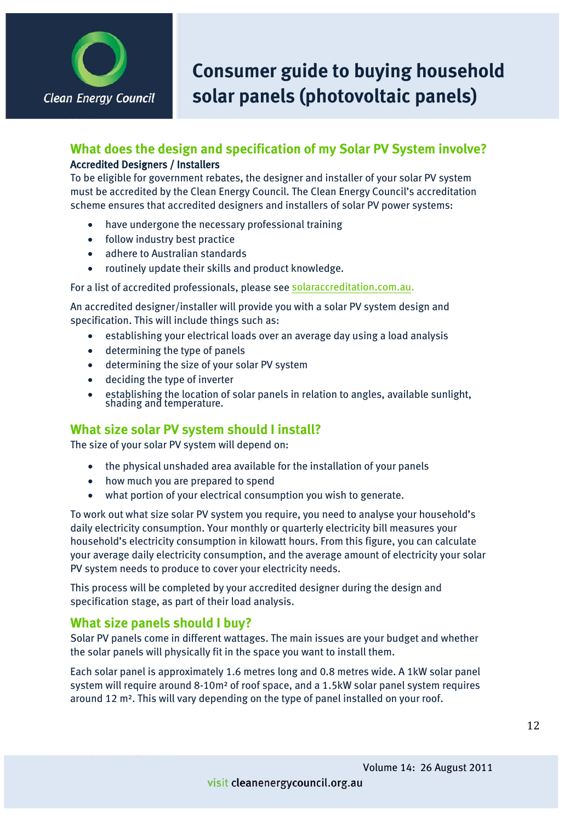

### **What does the design and specification of my Solar PV System involve?** Accredited Designers / Installers

To be eligible for government rebates, the designer and installer of your solar PV system must be accredited by the Clean Energy Council. The Clean Energy Council's accreditation scheme ensures that accredited designers and installers of solar PV power systems:

- have undergone the necessary professional training
- $\bullet$  follow industry best practice
- adhere to Australian standards
- routinely update their skills and product knowledge.

For a list of accredited professionals, please see [solaraccreditation.com.au.](http://www.solaraccreditation.com.au/)

An accredited designer/installer will provide you with a solar PV system design and specification. This will include things such as:

- establishing your electrical loads over an average day using a load analysis
- $\bullet$  determining the type of panels
- determining the size of your solar PV system
- $\bullet$  deciding the type of inverter
- <sup>x</sup> establishing the location of solar panels in relation to angles, available sunlight, shading and temperature.

### **What size solar PV system should I install?**

The size of your solar PV system will depend on:

- $\bullet$  the physical unshaded area available for the installation of your panels
- how much you are prepared to spend
- $\bullet$  what portion of your electrical consumption you wish to generate.

To work out what size solar PV system you require, you need to analyse your household's daily electricity consumption. Your monthly or quarterly electricity bill measures your household's electricity consumption in kilowatt hours. From this figure, you can calculate your average daily electricity consumption, and the average amount of electricity your solar PV system needs to produce to cover your electricity needs.

This process will be completed by your accredited designer during the design and specification stage, as part of their load analysis.

#### **What size panels should I buy?**

Solar PV panels come in different wattages. The main issues are your budget and whether the solar panels will physically fit in the space you want to install them.

Each solar panel is approximately 1.6 metres long and 0.8 metres wide. A 1kW solar panel system will require around 8-10m² of roof space, and a 1.5kW solar panel system requires around 12 m². This will vary depending on the type of panel installed on your roof.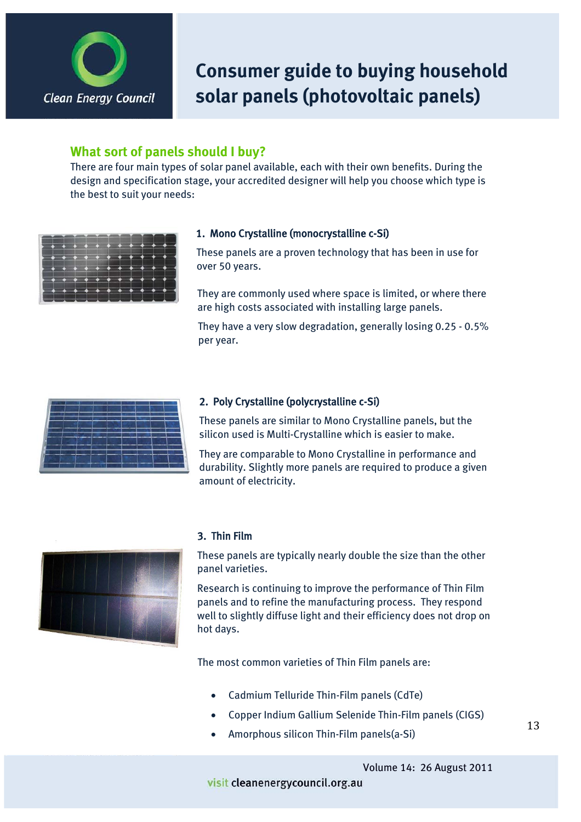

### **What sort of panels should I buy?**

There are four main types of solar panel available, each with their own benefits. During the design and specification stage, your accredited designer will help you choose which type is the best to suit your needs:

| -- |          |                            |                     | $\bullet$ $\bullet$ $\bullet$ $\bullet$ |                               |                |                          |  |
|----|----------|----------------------------|---------------------|-----------------------------------------|-------------------------------|----------------|--------------------------|--|
|    | $\cdots$ |                            |                     |                                         |                               |                |                          |  |
|    |          | $\overline{\phantom{a}}$   | --                  |                                         | - 4                           | $\blacksquare$ | $\overline{\phantom{a}}$ |  |
|    |          | - 4                        | $\bullet$ $\bullet$ |                                         | $\bullet$ $\bullet$ $\bullet$ |                |                          |  |
|    |          |                            |                     | $\rightarrow$ + + + +                   |                               |                |                          |  |
|    |          | <b>The American Street</b> |                     |                                         |                               |                |                          |  |

#### 1. Mono Crystalline (monocrystalline c-Si)

These panels are a proven technology that has been in use for over 50 years.

They are commonly used where space is limited, or where there are high costs associated with installing large panels.

They have a very slow degradation, generally losing 0.25 - 0.5% per year.



#### 2. Poly Crystalline (polycrystalline c-Si)

These panels are similar to Mono Crystalline panels, but the silicon used is Multi-Crystalline which is easier to make.

They are comparable to Mono Crystalline in performance and durability. Slightly more panels are required to produce a given amount of electricity.



#### 3. Thin Film

These panels are typically nearly double the size than the other panel varieties.

Research is continuing to improve the performance of Thin Film panels and to refine the manufacturing process. They respond well to slightly diffuse light and their efficiency does not drop on hot days.

The most common varieties of Thin Film panels are:

- Cadmium Telluride Thin-Film panels (CdTe)
- Copper Indium Gallium Selenide Thin-Film panels (CIGS)
- Amorphous silicon Thin-Film panels(a-Si)

Volume 14: 26 August 2011

#### visit cleanenergycouncil.org.au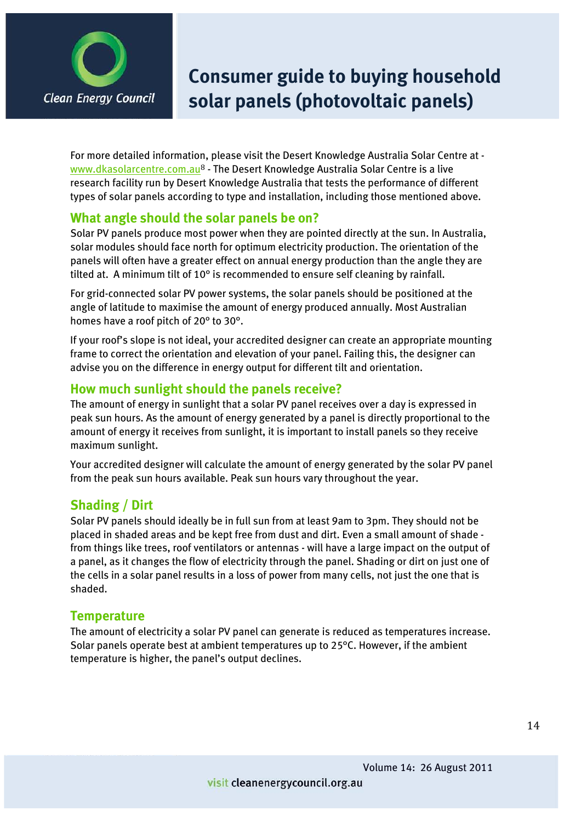

For more detailed information, please visit the Desert Knowledge Australia Solar Centre at www.dkasolarcentre.com.au<sup>8</sup> - The Desert Knowledge Australia Solar Centre is a live research facility run by Desert Knowledge Australia that tests the performance of different types of solar panels according to type and installation, including those mentioned above.

### **What angle should the solar panels be on?**

Solar PV panels produce most power when they are pointed directly at the sun. In Australia, solar modules should face north for optimum electricity production. The orientation of the panels will often have a greater effect on annual energy production than the angle they are tilted at. A minimum tilt of 10° is recommended to ensure self cleaning by rainfall.

For grid-connected solar PV power systems, the solar panels should be positioned at the angle of latitude to maximise the amount of energy produced annually. Most Australian homes have a roof pitch of 20° to 30°.

If your roof's slope is not ideal, your accredited designer can create an appropriate mounting frame to correct the orientation and elevation of your panel. Failing this, the designer can advise you on the difference in energy output for different tilt and orientation.

### **How much sunlight should the panels receive?**

The amount of energy in sunlight that a solar PV panel receives over a day is expressed in peak sun hours. As the amount of energy generated by a panel is directly proportional to the amount of energy it receives from sunlight, it is important to install panels so they receive maximum sunlight.

Your accredited designer will calculate the amount of energy generated by the solar PV panel from the peak sun hours available. Peak sun hours vary throughout the year.

### **Shading / Dirt**

Solar PV panels should ideally be in full sun from at least 9am to 3pm. They should not be placed in shaded areas and be kept free from dust and dirt. Even a small amount of shade from things like trees, roof ventilators or antennas - will have a large impact on the output of a panel, as it changes the flow of electricity through the panel. Shading or dirt on just one of the cells in a solar panel results in a loss of power from many cells, not just the one that is shaded.

### **Temperature**

The amount of electricity a solar PV panel can generate is reduced as temperatures increase. Solar panels operate best at ambient temperatures up to 25°C. However, if the ambient temperature is higher, the panel's output declines.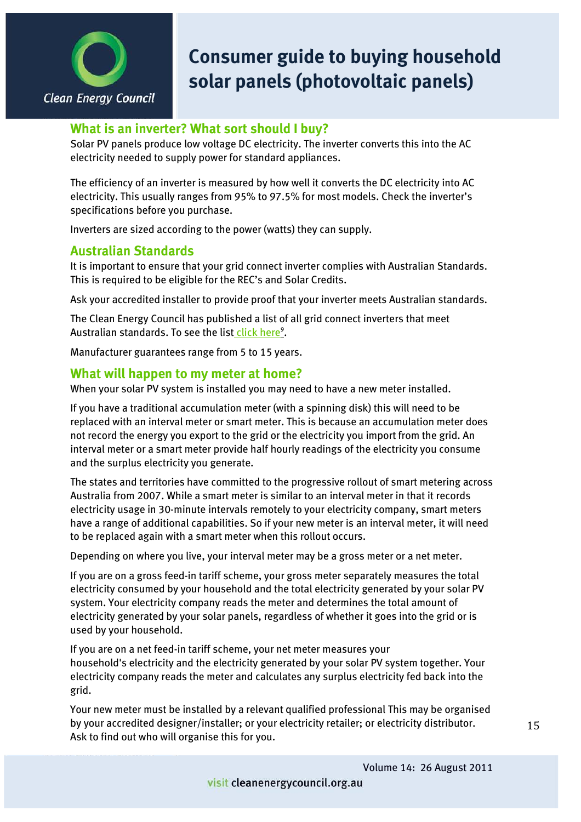

### **What is an inverter? What sort should I buy?**

Solar PV panels produce low voltage DC electricity. The inverter converts this into the AC electricity needed to supply power for standard appliances.

The efficiency of an inverter is measured by how well it converts the DC electricity into AC electricity. This usually ranges from 95% to 97.5% for most models. Check the inverter's specifications before you purchase.

Inverters are sized according to the power (watts) they can supply.

### **Australian Standards**

It is important to ensure that your grid connect inverter complies with Australian Standards. This is required to be eligible for the REC's and Solar Credits.

Ask your accredited installer to provide proof that your inverter meets Australian standards.

The Clean Energy Council has published a list of all grid connect inverters that meet Australian standards. To see the list<u> click here<sup>9</sup>.</u>

Manufacturer guarantees range from 5 to 15 years.

#### **What will happen to my meter at home?**

When your solar PV system is installed you may need to have a new meter installed.

If you have a traditional accumulation meter (with a spinning disk) this will need to be replaced with an interval meter or smart meter. This is because an accumulation meter does not record the energy you export to the grid or the electricity you import from the grid. An interval meter or a smart meter provide half hourly readings of the electricity you consume and the surplus electricity you generate.

The states and territories have committed to the progressive rollout of smart metering across Australia from 2007. While a smart meter is similar to an interval meter in that it records electricity usage in 30-minute intervals remotely to your electricity company, smart meters have a range of additional capabilities. So if your new meter is an interval meter, it will need to be replaced again with a smart meter when this rollout occurs.

Depending on where you live, your interval meter may be a gross meter or a net meter.

If you are on a gross feed-in tariff scheme, your gross meter separately measures the total electricity consumed by your household and the total electricity generated by your solar PV system. Your electricity company reads the meter and determines the total amount of electricity generated by your solar panels, regardless of whether it goes into the grid or is used by your household.

If you are on a net feed-in tariff scheme, your net meter measures your household's electricity and the electricity generated by your solar PV system together. Your electricity company reads the meter and calculates any surplus electricity fed back into the grid.

Your new meter must be installed by a relevant qualified professional This may be organised by your accredited designer/installer; or your electricity retailer; or electricity distributor. Ask to find out who will organise this for you.

15

Volume 14: 26 August 2011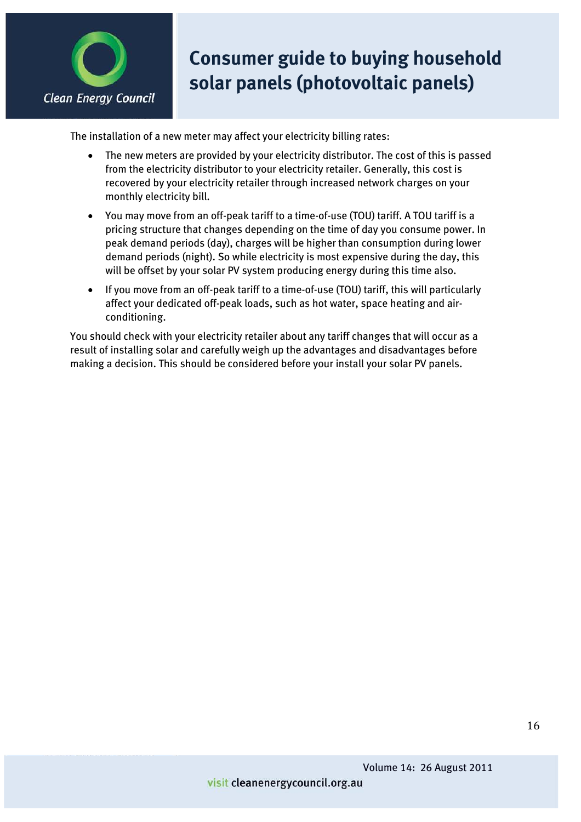

The installation of a new meter may affect your electricity billing rates:

- The new meters are provided by your electricity distributor. The cost of this is passed from the electricity distributor to your electricity retailer. Generally, this cost is recovered by your electricity retailer through increased network charges on your monthly electricity bill.
- x You may move from an off-peak tariff to a time-of-use (TOU) tariff. A TOU tariff is a pricing structure that changes depending on the time of day you consume power. In peak demand periods (day), charges will be higher than consumption during lower demand periods (night). So while electricity is most expensive during the day, this will be offset by your solar PV system producing energy during this time also.
- If you move from an off-peak tariff to a time-of-use (TOU) tariff, this will particularly affect your dedicated off-peak loads, such as hot water, space heating and airconditioning.

You should check with your electricity retailer about any tariff changes that will occur as a result of installing solar and carefully weigh up the advantages and disadvantages before making a decision. This should be considered before your install your solar PV panels.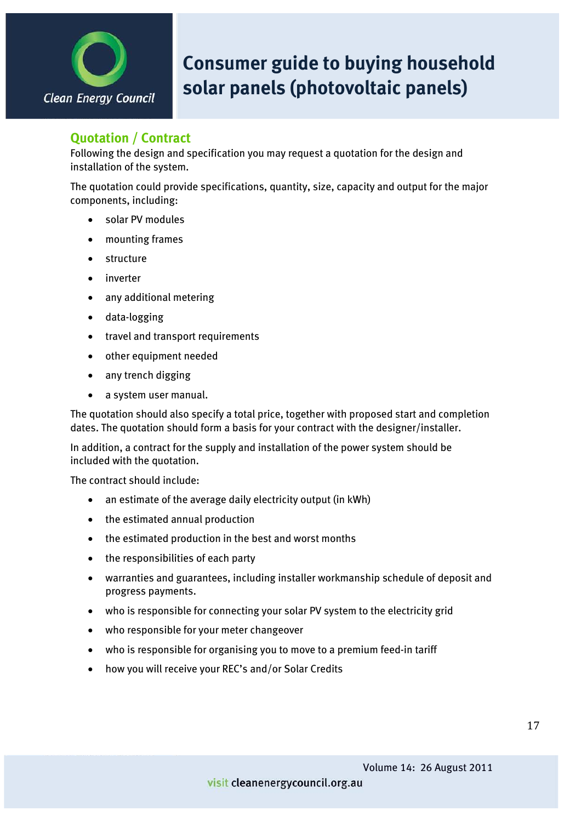

### **Quotation / Contract**

Following the design and specification you may request a quotation for the design and installation of the system.

The quotation could provide specifications, quantity, size, capacity and output for the major components, including:

- solar PV modules
- mounting frames
- $\bullet$  structure
- $\bullet$  inverter
- any additional metering
- $\bullet$  data-logging
- travel and transport requirements
- other equipment needed
- any trench digging
- a system user manual.

The quotation should also specify a total price, together with proposed start and completion dates. The quotation should form a basis for your contract with the designer/installer.

In addition, a contract for the supply and installation of the power system should be included with the quotation.

The contract should include:

- $\bullet$  an estimate of the average daily electricity output (in kWh)
- $\bullet$  the estimated annual production
- the estimated production in the best and worst months
- $\bullet$  the responsibilities of each party
- warranties and guarantees, including installer workmanship schedule of deposit and progress payments.
- who is responsible for connecting your solar PV system to the electricity grid
- who responsible for your meter changeover
- who is responsible for organising you to move to a premium feed-in tariff
- how you will receive your REC's and/or Solar Credits

17

Volume 14: 26 August 2011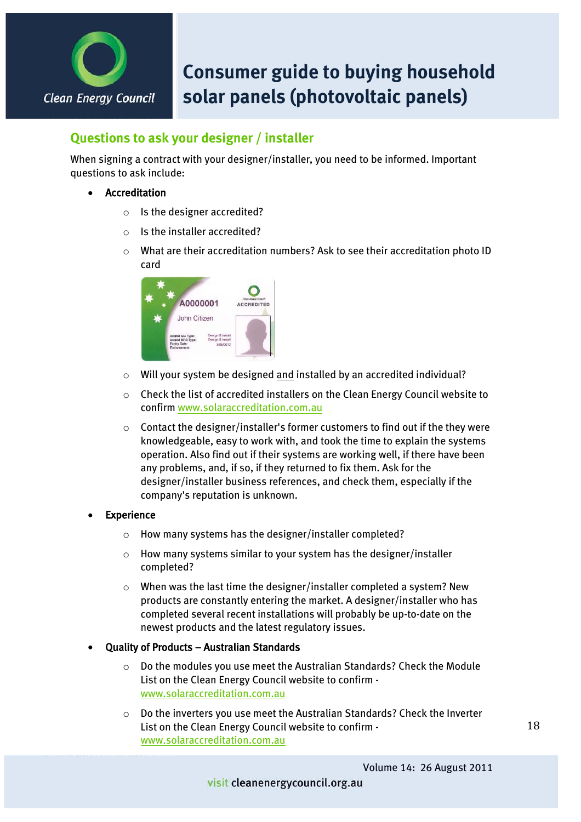

### **Questions to ask your designer / installer**

When signing a contract with your designer/installer, you need to be informed. Important questions to ask include:

- **Accreditation** 
	- o Is the designer accredited?
	- o Is the installer accredited?
	- o What are their accreditation numbers? Ask to see their accreditation photo ID card



- o Will your system be designed and installed by an accredited individual?
- $\circ$  Check the list of accredited installers on the Clean Energy Council website to confirm [www.solaraccreditation.com.au](http://www.solaraccreditation.com.au/)
- $\circ$  Contact the designer/installer's former customers to find out if the they were knowledgeable, easy to work with, and took the time to explain the systems operation. Also find out if their systems are working well, if there have been any problems, and, if so, if they returned to fix them. Ask for the designer/installer business references, and check them, especially if the company's reputation is unknown.

#### **Experience**

- o How many systems has the designer/installer completed?
- $\circ$  How many systems similar to your system has the designer/installer completed?
- o When was the last time the designer/installer completed a system? New products are constantly entering the market. A designer/installer who has completed several recent installations will probably be up-to-date on the newest products and the latest regulatory issues.

#### Quality of Products - Australian Standards

- o Do the modules you use meet the Australian Standards? Check the Module List on the Clean Energy Council website to confirm [www.solaraccreditation.com.au](http://www.solaraccreditation.com.au/)
- o Do the inverters you use meet the Australian Standards? Check the Inverter List on the Clean Energy Council website to confirm [www.solaraccreditation.com.au](http://www.solaraccreditation.com.au/)

18

Volume 14: 26 August 2011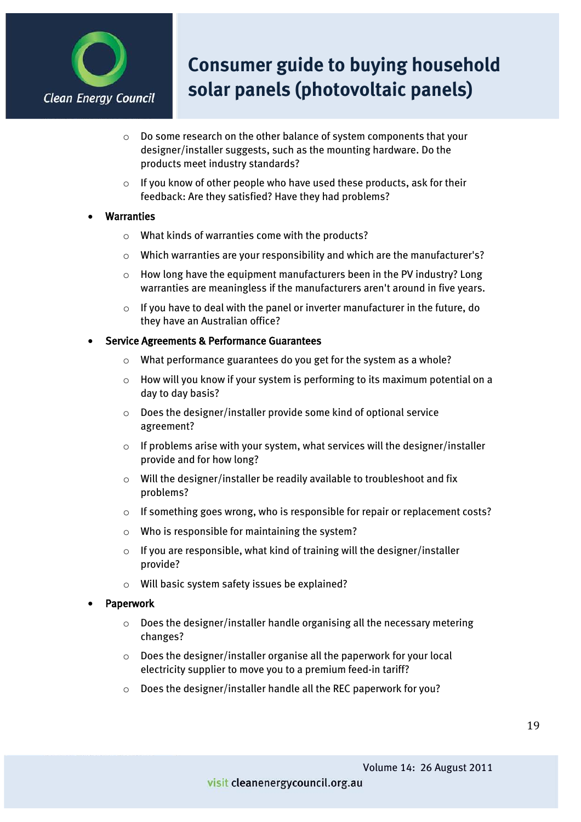

- o Do some research on the other balance of system components that your designer/installer suggests, such as the mounting hardware. Do the products meet industry standards?
- $\circ$  If you know of other people who have used these products, ask for their feedback: Are they satisfied? Have they had problems?

#### **Warranties**

- o What kinds of warranties come with the products?
- o Which warranties are your responsibility and which are the manufacturer's?
- o How long have the equipment manufacturers been in the PV industry? Long warranties are meaningless if the manufacturers aren't around in five years.
- o If you have to deal with the panel or inverter manufacturer in the future, do they have an Australian office?
- Service Agreements & Performance Guarantees
	- o What performance guarantees do you get for the system as a whole?
	- $\circ$  How will you know if your system is performing to its maximum potential on a day to day basis?
	- o Does the designer/installer provide some kind of optional service agreement?
	- $\circ$  If problems arise with your system, what services will the designer/installer provide and for how long?
	- o Will the designer/installer be readily available to troubleshoot and fix problems?
	- $\circ$  If something goes wrong, who is responsible for repair or replacement costs?
	- o Who is responsible for maintaining the system?
	- $\circ$  If you are responsible, what kind of training will the designer/installer provide?
	- o Will basic system safety issues be explained?

#### **Paperwork**

- o Does the designer/installer handle organising all the necessary metering changes?
- o Does the designer/installer organise all the paperwork for your local electricity supplier to move you to a premium feed-in tariff?
- o Does the designer/installer handle all the REC paperwork for you?

#### visit cleanenergycouncil.org.au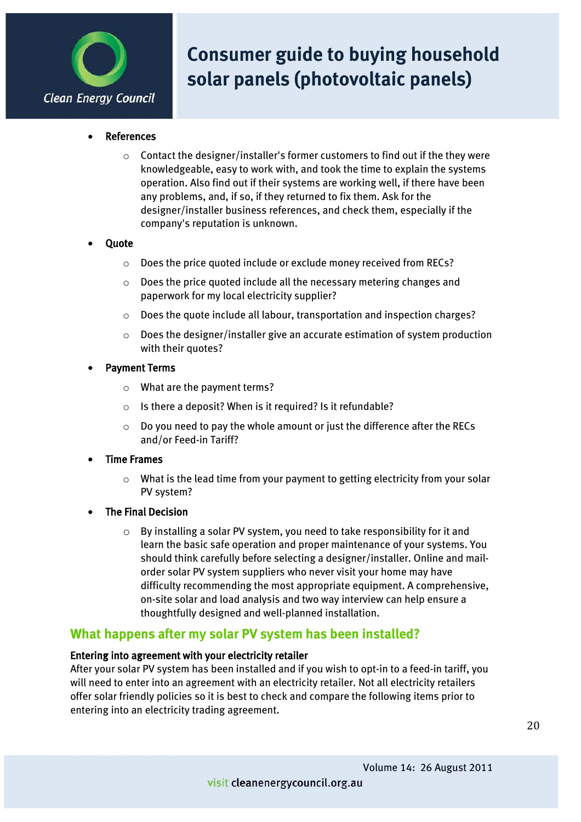

- **References** 
	- $\circ$  Contact the designer/installer's former customers to find out if the they were knowledgeable, easy to work with, and took the time to explain the systems operation. Also find out if their systems are working well, if there have been any problems, and, if so, if they returned to fix them. Ask for the designer/installer business references, and check them, especially if the company's reputation is unknown.

#### **Quote**

- o Does the price quoted include or exclude money received from RECs?
- o Does the price quoted include all the necessary metering changes and paperwork for my local electricity supplier?
- o Does the quote include all labour, transportation and inspection charges?
- $\circ$  Does the designer/installer give an accurate estimation of system production with their quotes?
- Payment Terms
	- o What are the payment terms?
	- o Is there a deposit? When is it required? Is it refundable?
	- o Do you need to pay the whole amount or just the difference after the RECs and/or Feed-in Tariff?
- **Time Frames** 
	- $\circ$  What is the lead time from your payment to getting electricity from your solar PV system?
- The Final Decision
	- o By installing a solar PV system, you need to take responsibility for it and learn the basic safe operation and proper maintenance of your systems. You should think carefully before selecting a designer/installer. Online and mailorder solar PV system suppliers who never visit your home may have difficulty recommending the most appropriate equipment. A comprehensive, on-site solar and load analysis and two way interview can help ensure a thoughtfully designed and well-planned installation.

### **What happens after my solar PV system has been installed?**

#### Entering into agreement with your electricity retailer

After your solar PV system has been installed and if you wish to opt-in to a feed-in tariff, you will need to enter into an agreement with an electricity retailer. Not all electricity retailers offer solar friendly policies so it is best to check and compare the following items prior to entering into an electricity trading agreement.

Volume 14: 26 August 2011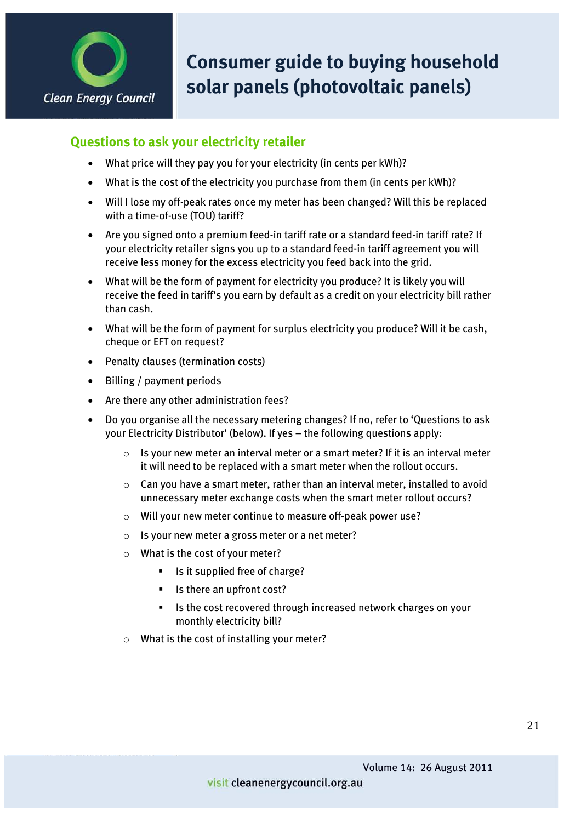

### **Questions to ask your electricity retailer**

- $\bullet$  What price will they pay you for your electricity (in cents per kWh)?
- $\bullet$  What is the cost of the electricity you purchase from them (in cents per kWh)?
- Will I lose my off-peak rates once my meter has been changed? Will this be replaced with a time-of-use (TOU) tariff?
- Are you signed onto a premium feed-in tariff rate or a standard feed-in tariff rate? If your electricity retailer signs you up to a standard feed-in tariff agreement you will receive less money for the excess electricity you feed back into the grid.
- x What will be the form of payment for electricity you produce? It is likely you will receive the feed in tariff's you earn by default as a credit on your electricity bill rather than cash.
- What will be the form of payment for surplus electricity you produce? Will it be cash, cheque or EFT on request?
- Penalty clauses (termination costs)
- $\bullet$  Billing / payment periods
- Are there any other administration fees?
- Do you organise all the necessary metering changes? If no, refer to 'Questions to ask your Electricity Distributor' (below). If yes – the following questions apply:
	- $\circ$  Is your new meter an interval meter or a smart meter? If it is an interval meter it will need to be replaced with a smart meter when the rollout occurs.
	- $\circ$  Can you have a smart meter, rather than an interval meter, installed to avoid unnecessary meter exchange costs when the smart meter rollout occurs?
	- o Will your new meter continue to measure off-peak power use?
	- o Is your new meter a gross meter or a net meter?
	- o What is the cost of your meter?
		- Is it supplied free of charge?
		- Is there an upfront cost?
		- Is the cost recovered through increased network charges on your monthly electricity bill?
	- o What is the cost of installing your meter?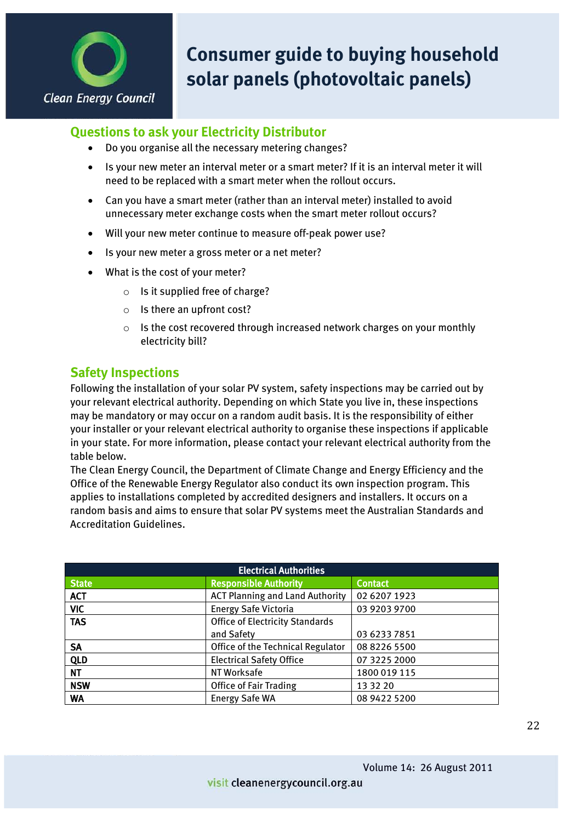

### **Questions to ask your Electricity Distributor**

- Do you organise all the necessary metering changes?
- Is your new meter an interval meter or a smart meter? If it is an interval meter it will need to be replaced with a smart meter when the rollout occurs.
- Can you have a smart meter (rather than an interval meter) installed to avoid unnecessary meter exchange costs when the smart meter rollout occurs?
- Will your new meter continue to measure off-peak power use?
- Is your new meter a gross meter or a net meter?
- What is the cost of your meter?
	- o Is it supplied free of charge?
	- o Is there an upfront cost?
	- o Is the cost recovered through increased network charges on your monthly electricity bill?

### **Safety Inspections**

Following the installation of your solar PV system, safety inspections may be carried out by your relevant electrical authority. Depending on which State you live in, these inspections may be mandatory or may occur on a random audit basis. It is the responsibility of either your installer or your relevant electrical authority to organise these inspections if applicable in your state. For more information, please contact your relevant electrical authority from the table below.

The Clean Energy Council, the Department of Climate Change and Energy Efficiency and the Office of the Renewable Energy Regulator also conduct its own inspection program. This applies to installations completed by accredited designers and installers. It occurs on a random basis and aims to ensure that solar PV systems meet the Australian Standards and Accreditation Guidelines.

| <b>Electrical Authorities</b> |                                        |                |  |  |
|-------------------------------|----------------------------------------|----------------|--|--|
| <b>State</b>                  | <b>Responsible Authority</b>           | <b>Contact</b> |  |  |
| <b>ACT</b>                    | <b>ACT Planning and Land Authority</b> | 02 6207 1923   |  |  |
| <b>VIC</b>                    | <b>Energy Safe Victoria</b>            | 03 9203 9700   |  |  |
| <b>TAS</b>                    | <b>Office of Electricity Standards</b> |                |  |  |
|                               | and Safety                             | 03 6233 7851   |  |  |
| <b>SA</b>                     | Office of the Technical Regulator      | 08 8226 5500   |  |  |
| <b>QLD</b>                    | <b>Electrical Safety Office</b>        | 07 3225 2000   |  |  |
| <b>NT</b>                     | NT Worksafe                            | 1800 019 115   |  |  |
| <b>NSW</b>                    | <b>Office of Fair Trading</b>          | 13 32 20       |  |  |
| WA                            | <b>Energy Safe WA</b>                  | 08 9422 5200   |  |  |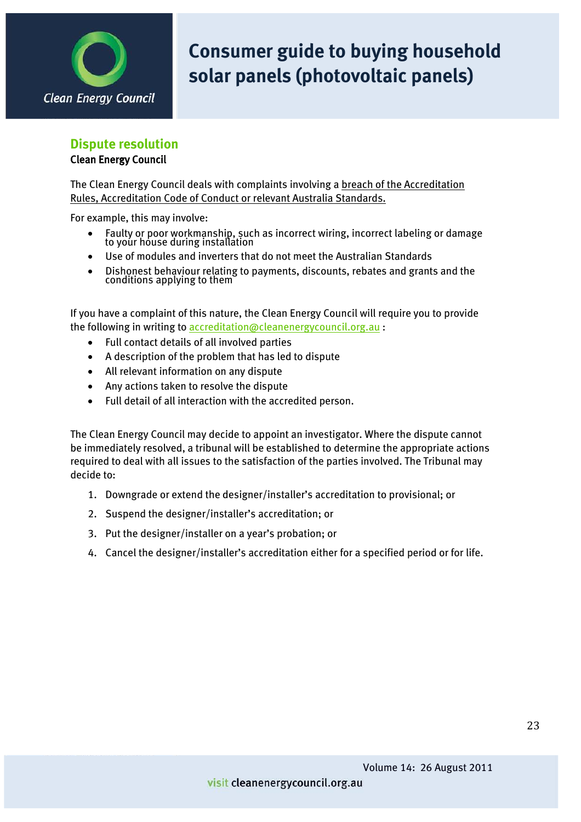

#### **Dispute resolution**

#### Clean Energy Council

The Clean Energy Council deals with complaints involving a breach of the Accreditation Rules, Accreditation Code of Conduct or relevant Australia Standards.

For example, this may involve:

- Faulty or poor workmanship, such as incorrect wiring, incorrect labeling or damage to your house during installation
- Use of modules and inverters that do not meet the Australian Standards
- Dishonest behaviour relating to payments, discounts, rebates and grants and the conditions applying to them

If you have a complaint of this nature, the Clean Energy Council will require you to provide the following in writing t[o accreditation@cleanenergycouncil.org.au](mailto:accreditation@cleanenergycouncil.org.au) :

- Full contact details of all involved parties
- A description of the problem that has led to dispute
- All relevant information on any dispute
- $\bullet$  Any actions taken to resolve the dispute
- Full detail of all interaction with the accredited person.

The Clean Energy Council may decide to appoint an investigator. Where the dispute cannot be immediately resolved, a tribunal will be established to determine the appropriate actions required to deal with all issues to the satisfaction of the parties involved. The Tribunal may decide to:

- 1. Downgrade or extend the designer/installer's accreditation to provisional; or
- 2. Suspend the designer/installer's accreditation; or
- 3. Put the designer/installer on a year's probation; or
- 4. Cancel the designer/installer's accreditation either for a specified period or for life.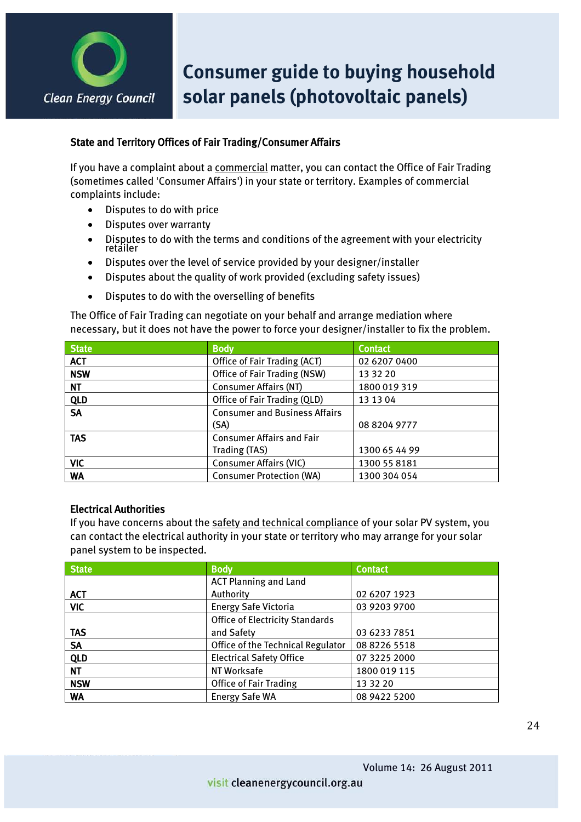

#### State and Territory Offices of Fair Trading/Consumer Affairs

If you have a complaint about a commercial matter, you can contact the Office of Fair Trading (sometimes called 'Consumer Affairs') in your state or territory. Examples of commercial complaints include:

- $\bullet$  Disputes to do with price
- Disputes over warranty
- Disputes to do with the terms and conditions of the agreement with your electricity retailer
- Disputes over the level of service provided by your designer/installer
- Disputes about the quality of work provided (excluding safety issues)
- Disputes to do with the overselling of benefits

The Office of Fair Trading can negotiate on your behalf and arrange mediation where necessary, but it does not have the power to force your designer/installer to fix the problem.

| <b>State</b> | <b>Body</b>                          | <b>Contact</b> |
|--------------|--------------------------------------|----------------|
| <b>ACT</b>   | Office of Fair Trading (ACT)         | 02 6207 0400   |
| <b>NSW</b>   | Office of Fair Trading (NSW)         | 13 32 20       |
| NT.          | <b>Consumer Affairs (NT)</b>         | 1800 019 319   |
| <b>QLD</b>   | Office of Fair Trading (QLD)         | 13 13 04       |
| <b>SA</b>    | <b>Consumer and Business Affairs</b> |                |
|              | (SA)                                 | 08 8204 9777   |
| <b>TAS</b>   | <b>Consumer Affairs and Fair</b>     |                |
|              | Trading (TAS)                        | 1300 65 44 99  |
| VIC          | <b>Consumer Affairs (VIC)</b>        | 1300 55 8181   |
| <b>WA</b>    | <b>Consumer Protection (WA)</b>      | 1300 304 054   |

#### Electrical Authorities

If you have concerns about the safety and technical compliance of your solar PV system, you can contact the electrical authority in your state or territory who may arrange for your solar panel system to be inspected.

| <b>State</b> | <b>Body</b>                            | <b>Contact</b> |
|--------------|----------------------------------------|----------------|
|              | <b>ACT Planning and Land</b>           |                |
| <b>ACT</b>   | Authority                              | 02 6207 1923   |
| <b>VIC</b>   | <b>Energy Safe Victoria</b>            | 03 9203 9700   |
|              | <b>Office of Electricity Standards</b> |                |
| <b>TAS</b>   | and Safety                             | 03 6233 7851   |
| <b>SA</b>    | Office of the Technical Regulator      | 08 8226 5518   |
| <b>QLD</b>   | <b>Electrical Safety Office</b>        | 07 3225 2000   |
| <b>NT</b>    | NT Worksafe                            | 1800 019 115   |
| <b>NSW</b>   | <b>Office of Fair Trading</b>          | 13 32 20       |
| <b>WA</b>    | <b>Energy Safe WA</b>                  | 08 9422 5200   |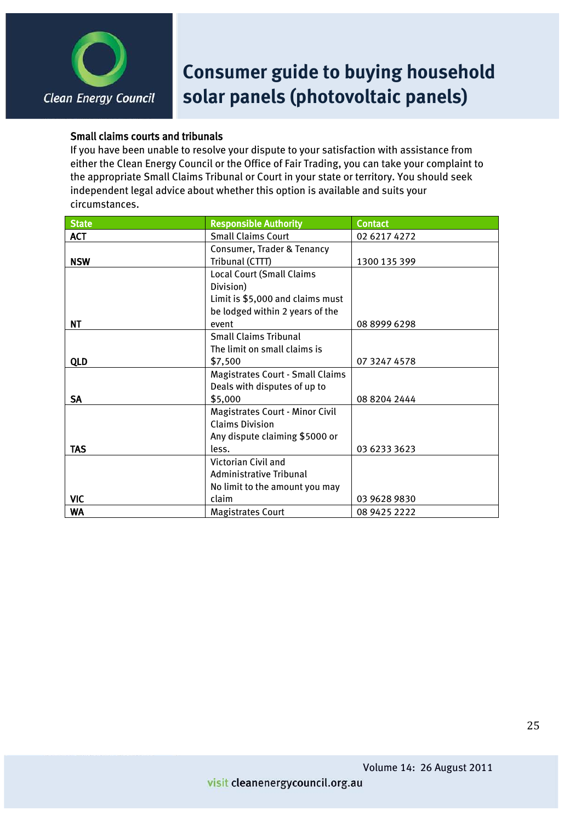

#### Small claims courts and tribunals

If you have been unable to resolve your dispute to your satisfaction with assistance from either the Clean Energy Council or the Office of Fair Trading, you can take your complaint to the appropriate Small Claims Tribunal or Court in your state or territory. You should seek independent legal advice about whether this option is available and suits your circumstances.

| State      | <b>Responsible Authority</b>            | <b>Contact</b> |
|------------|-----------------------------------------|----------------|
| <b>ACT</b> | <b>Small Claims Court</b>               | 02 6217 4272   |
|            | Consumer, Trader & Tenancy              |                |
| <b>NSW</b> | Tribunal (CTTT)                         | 1300 135 399   |
|            | <b>Local Court (Small Claims</b>        |                |
|            | Division)                               |                |
|            | Limit is \$5,000 and claims must        |                |
|            | be lodged within 2 years of the         |                |
| NT         | event                                   | 0889996298     |
|            | <b>Small Claims Tribunal</b>            |                |
|            | The limit on small claims is            |                |
| <b>QLD</b> | \$7,500                                 | 07 3247 4578   |
|            | <b>Magistrates Court - Small Claims</b> |                |
|            | Deals with disputes of up to            |                |
| <b>SA</b>  | \$5,000                                 | 08 8204 2444   |
|            | <b>Magistrates Court - Minor Civil</b>  |                |
|            | <b>Claims Division</b>                  |                |
|            | Any dispute claiming \$5000 or          |                |
| <b>TAS</b> | less.                                   | 03 6233 3623   |
|            | Victorian Civil and                     |                |
|            | Administrative Tribunal                 |                |
|            | No limit to the amount you may          |                |
| <b>VIC</b> | claim                                   | 03 9628 9830   |
| <b>WA</b>  | <b>Magistrates Court</b>                | 08 9425 2222   |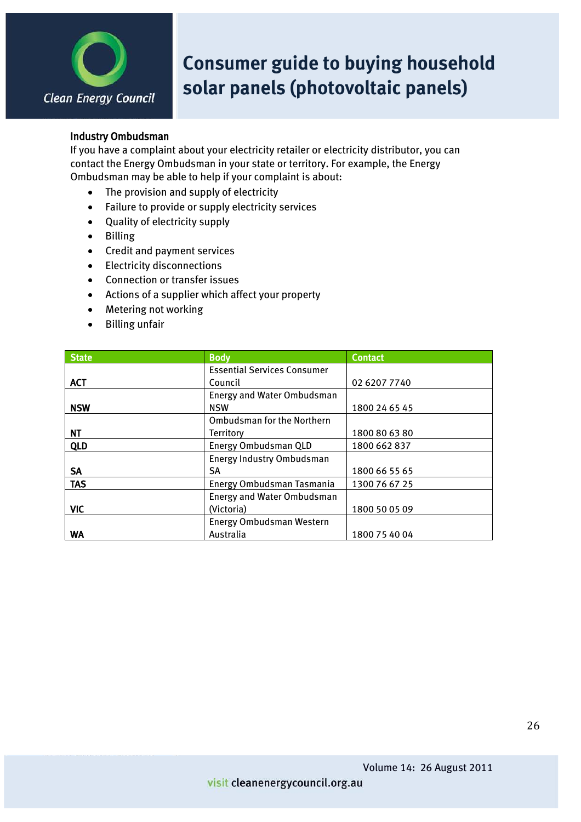

#### Industry Ombudsman

If you have a complaint about your electricity retailer or electricity distributor, you can contact the Energy Ombudsman in your state or territory. For example, the Energy Ombudsman may be able to help if your complaint is about:

- The provision and supply of electricity
- Failure to provide or supply electricity services
- Quality of electricity supply
- Billing
- Credit and payment services
- Electricity disconnections
- Connection or transfer issues
- Actions of a supplier which affect your property
- Metering not working
- Billing unfair

| <b>State</b> | <b>Body</b>                        | <b>Contact</b> |
|--------------|------------------------------------|----------------|
|              | <b>Essential Services Consumer</b> |                |
| <b>ACT</b>   | Council                            | 02 6207 7740   |
|              | Energy and Water Ombudsman         |                |
| <b>NSW</b>   | <b>NSW</b>                         | 1800 24 65 45  |
|              | <b>Ombudsman for the Northern</b>  |                |
| NΤ           | Territory                          | 1800 80 63 80  |
| <b>QLD</b>   | Energy Ombudsman QLD               | 1800 662 837   |
|              | Energy Industry Ombudsman          |                |
| SA           | SA                                 | 1800 66 55 65  |
| <b>TAS</b>   | Energy Ombudsman Tasmania          | 1300 76 67 25  |
|              | <b>Energy and Water Ombudsman</b>  |                |
| <b>VIC</b>   | (Victoria)                         | 1800 50 05 09  |
|              | Energy Ombudsman Western           |                |
| WA           | Australia                          | 1800 75 40 04  |